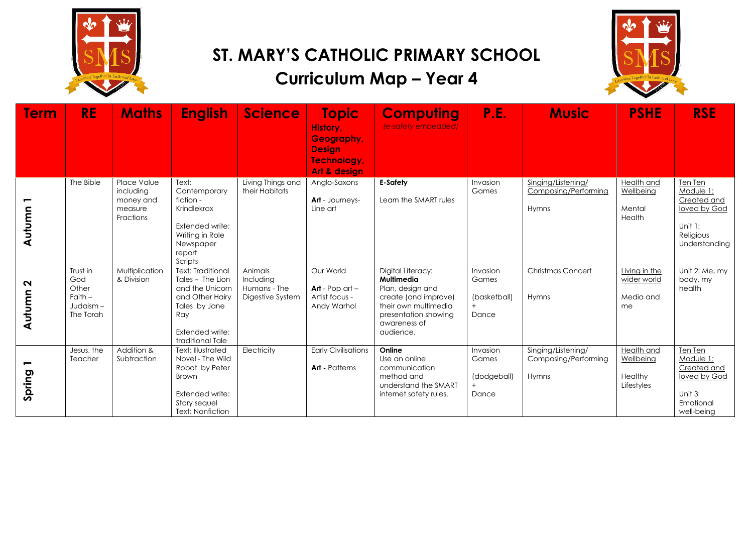

## **ST. MARY'S CATHOLIC PRIMARY SCHOOL**

## **Curriculum Map – Year 4**



| <b>Term</b>                 | <b>RE</b>                                                       | <b>Maths</b>                                                  | <b>English</b>                                                                                                                             | <b>Science</b>                                           | <b>Topic</b><br>History,<br>Geography,<br><b>Design</b><br>Technology,<br>Art & design | <b>Computing</b><br>(e-safety embedded)                                                                                                                  | <b>P.E.</b>                                       | <b>Music</b>                                        | <b>PSHE</b>                                                    | <b>RSE</b>                                                                                      |
|-----------------------------|-----------------------------------------------------------------|---------------------------------------------------------------|--------------------------------------------------------------------------------------------------------------------------------------------|----------------------------------------------------------|----------------------------------------------------------------------------------------|----------------------------------------------------------------------------------------------------------------------------------------------------------|---------------------------------------------------|-----------------------------------------------------|----------------------------------------------------------------|-------------------------------------------------------------------------------------------------|
| Autumn                      | The Bible                                                       | Place Value<br>including<br>money and<br>measure<br>Fractions | Text:<br>Contemporary<br>fiction -<br>Krindlekrax<br>Extended write:<br>Writing in Role<br>Newspaper<br>report<br>Scripts                  | Living Things and<br>their Habitats                      | Anglo-Saxons<br>Art - Journeys-<br>Line art                                            | <b>E-Safety</b><br>Learn the SMART rules                                                                                                                 | Invasion<br>Games                                 | Singing/Listening/<br>Composing/Performing<br>Hymns | Health and<br>Wellbeing<br>Mental<br>Health                    | Ten Ten<br>Module 1:<br>Created and<br>loved by God<br>Unit $1$ :<br>Religious<br>Understanding |
| $\mathbf{\Omega}$<br>Autumn | Trust in<br>God<br>Other<br>$F$ aith –<br>Judaism-<br>The Torah | Multiplication<br>& Division                                  | Text: Traditional<br>Tales - The Lion<br>and the Unicorn<br>and Other Hairy<br>Tales by Jane<br>Ray<br>Extended write:<br>traditional Tale | Animals<br>Including<br>Humans - The<br>Digestive System | Our World<br>Art - Pop art $-$<br>Artist focus -<br>Andy Warhol                        | Digital Literacy:<br>Multimedia<br>Plan, design and<br>create (and improve)<br>their own multimedia<br>presentation showing<br>awareness of<br>audience. | Invasion<br>Games<br>(basketball)<br>$+$<br>Dance | <b>Christmas Concert</b><br>Hymns                   | Living in the<br>wider world<br>Media and<br>me                | Unit 2: Me, $my$<br>body, my<br>health                                                          |
| −<br>Spring                 | Jesus, the<br>Teacher                                           | Addition &<br>Subtraction                                     | Text: Illustrated<br>Novel - The Wild<br>Robot by Peter<br>Brown<br>Extended write:<br>Story sequel<br>Text: Nonfiction                    | Electricity                                              | <b>Early Civilisations</b><br><b>Art</b> - Patterns                                    | Online<br>Use an online<br>communication<br>method and<br>understand the SMART<br>internet safety rules.                                                 | Invasion<br>Games<br>(dodgeball)<br>Dance         | Singing/Listening/<br>Composing/Performing<br>Hymns | <b>Health and</b><br>Wellbeing<br><b>Healthy</b><br>Lifestyles | Ten Ten<br>Module 1:<br>Created and<br>loved by God<br>Unit 3:<br>Emotional<br>well-being       |